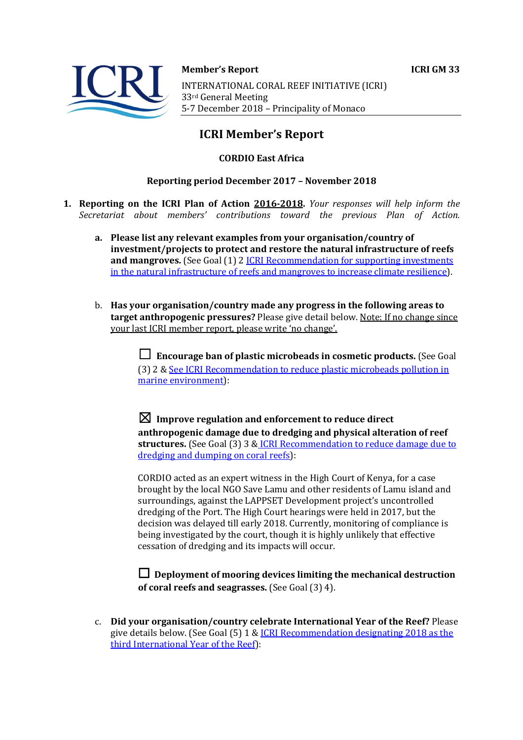

**Member's Report ICRI GM 33** INTERNATIONAL CORAL REEF INITIATIVE (ICRI) 33rd General Meeting 5-7 December 2018 - Principality of Monaco

# **ICRI Member's Report**

# **CORDIO East Africa**

### **Reporting period December 2017 – November 2018**

- **1. Reporting on the ICRI Plan of Action 2016-2018.** *Your responses will help inform the Secretariat about members' contributions toward the previous Plan of Action.*
	- a. Please list any relevant examples from your organisation/country of **investment/projects to protect and restore the natural infrastructure of reefs and mangroves.** (See Goal (1) 2 *ICRI Recommendation for supporting investments* in the natural infrastructure of reefs and mangroves to increase climate resilience).
	- b. Has your organisation/country made any progress in the following areas to **target anthropogenic pressures?** Please give detail below. Note: If no change since your last ICRI member report, please write 'no change'.

**□** Encourage ban of plastic microbeads in cosmetic products. (See Goal (3) 2 & See ICRI Recommendation to reduce plastic microbeads pollution in marine environment):

 $\boxtimes$  Improve regulation and enforcement to reduce direct anthropogenic damage due to dredging and physical alteration of reef structures. (See Goal (3) 3 & ICRI Recommendation to reduce damage due to dredging and dumping on coral reefs):

CORDIO acted as an expert witness in the High Court of Kenya, for a case brought by the local NGO Save Lamu and other residents of Lamu island and surroundings, against the LAPPSET Development project's uncontrolled dredging of the Port. The High Court hearings were held in 2017, but the decision was delayed till early 2018. Currently, monitoring of compliance is being investigated by the court, though it is highly unlikely that effective cessation of dredging and its impacts will occur.

 $\Box$  Deployment of mooring devices limiting the mechanical destruction **of coral reefs and seagrasses.** (See Goal (3) 4).

c. **Did your organisation/country celebrate International Year of the Reef?** Please give details below. (See Goal  $(5)$  1 & ICRI Recommendation designating 2018 as the third International Year of the Reef):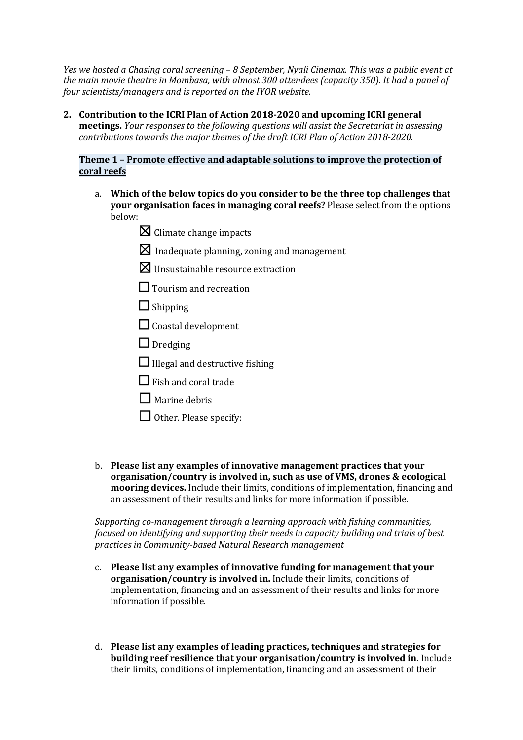*Yes* we hosted a Chasing coral screening – 8 September, Nyali Cinemax. This was a public event at the main movie theatre in Mombasa, with almost 300 attendees (capacity 350). It had a panel of *four scientists/managers and is reported on the IYOR website.* 

2. Contribution to the ICRI Plan of Action 2018-2020 and upcoming ICRI general **meetings.** *Your responses to the following questions will assist the Secretariat in assessing contributions towards the major themes of the draft ICRI Plan of Action 2018-2020.* 

### **Theme 1 - Promote effective and adaptable solutions to improve the protection of coral reefs**

- a. Which of the below topics do you consider to be the three top challenges that **your organisation faces in managing coral reefs?** Please select from the options below:
	- $\boxtimes$  Climate change impacts
	- $\boxtimes$  Inadequate planning, zoning and management
	- $\boxtimes$  Unsustainable resource extraction
	- $\Box$  Tourism and recreation
	- $\Box$  Shipping
	- $\Box$  Coastal development
	- $\Box$  Dredging
	- $\Box$  Illegal and destructive fishing
	- $\Box$  Fish and coral trade
	- $\Box$  Marine debris
	- $\Box$  Other. Please specify:
- b. Please list any examples of innovative management practices that your **organisation/country is involved in, such as use of VMS, drones & ecological mooring devices.** Include their limits, conditions of implementation, financing and an assessment of their results and links for more information if possible.

*Supporting co-management through a learning approach with fishing communities, focused on identifying and supporting their needs in capacity building and trials of best practices in Community-based Natural Research management* 

- c. Please list any examples of innovative funding for management that your **organisation/country is involved in.** Include their limits, conditions of implementation, financing and an assessment of their results and links for more information if possible.
- d. Please list any examples of leading practices, techniques and strategies for **building reef resilience that your organisation/country is involved in.** Include their limits, conditions of implementation, financing and an assessment of their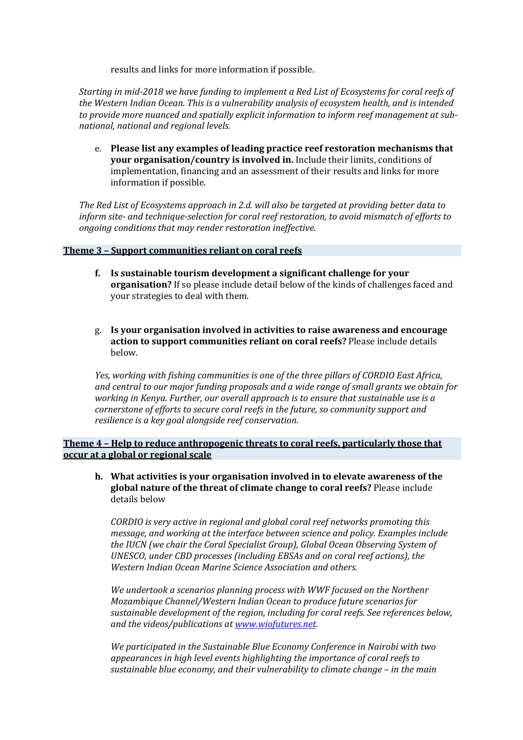results and links for more information if possible.

Starting in mid-2018 we have funding to implement a Red List of Ecosystems for coral reefs of *the Western Indian Ocean. This is a vulnerability analysis of ecosystem health, and is intended* to provide more nuanced and spatially explicit information to inform reef management at sub*national, national and regional levels.*

e. Please list any examples of leading practice reef restoration mechanisms that **your organisation/country is involved in.** Include their limits, conditions of implementation, financing and an assessment of their results and links for more information if possible.

The Red List of Ecosystems approach in 2.d. will also be targeted at providing better data to *inform site-* and technique-selection for coral reef restoration, to avoid mismatch of efforts to *ongoing conditions that may render restoration ineffective.* 

#### **Theme 3 - Support communities reliant on coral reefs**

- **f.** Is sustainable tourism development a significant challenge for your **organisation?** If so please include detail below of the kinds of challenges faced and your strategies to deal with them.
- g. Is your organisation involved in activities to raise awareness and encourage action to support communities reliant on coral reefs? Please include details below.

Yes, working with fishing communities is one of the three pillars of CORDIO East Africa, *and central to our major funding proposals and a wide range of small grants we obtain for working in Kenya. Further, our overall approach is to ensure that sustainable use is a cornerstone of efforts to secure coral reefs in the future, so community support and resilience is a key goal alongside reef conservation.* 

**Theme 4 - Help to reduce anthropogenic threats to coral reefs, particularly those that occur at a global or regional scale** 

**h.** What activities is your organisation involved in to elevate awareness of the global nature of the threat of climate change to coral reefs? Please include details below

*CORDIO* is very active in regional and global coral reef networks promoting this *message, and working at the interface between science and policy. Examples include the IUCN (we chair the Coral Specialist Group), Global Ocean Observing System of* UNESCO, under CBD processes (including EBSAs and on coral reef actions), the *Western Indian Ocean Marine Science Association and others.* 

We undertook a scenarios planning process with WWF focused on the Northenr *Mozambique Channel/Western Indian Ocean to produce future scenarios for* sustainable development of the region, including for coral reefs. See references below, and the videos/publications at www.wiofutures.net.

We participated in the Sustainable Blue *Economy Conference* in Nairobi with two appearances in high level events highlighting the importance of coral reefs to *sustainable blue economy, and their vulnerability to climate change – in the main*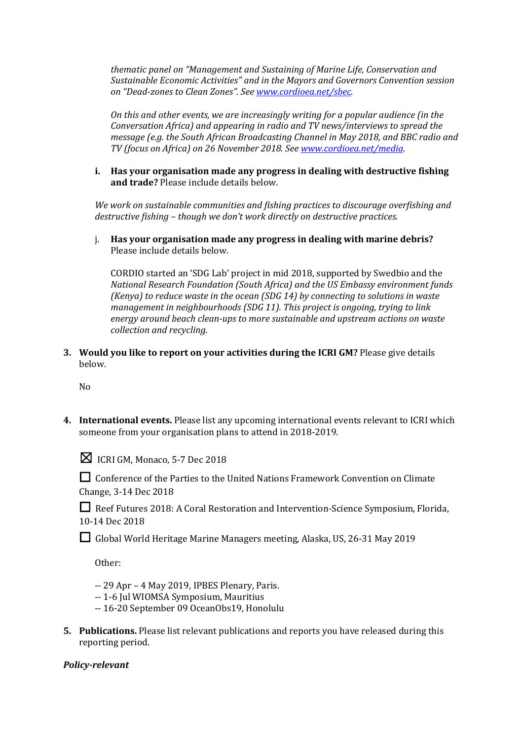*thematic panel on "Management and Sustaining of Marine Life, Conservation and* Sustainable *Economic Activities*" and in the Mayors and Governors Convention session *on "Dead-zones to Clean Zones". See www.cordioea.net/sbec.*

*On this and other events, we are increasingly writing for a popular audience (in the Conversation Africa)* and appearing in radio and TV news/interviews to spread the *message (e.g. the South African Broadcasting Channel in May 2018, and BBC radio and TV (focus on Africa) on 26 November 2018. See www.cordioea.net/media.*

**i.** Has your organisation made any progress in dealing with destructive fishing **and trade?** Please include details below.

We work on sustainable communities and fishing practices to discourage overfishing and *destructive fishing* – *though* we don't work directly on destructive practices.

j. Has your organisation made any progress in dealing with marine debris? Please include details below.

CORDIO started an 'SDG Lab' project in mid 2018, supported by Swedbio and the *National Research Foundation (South Africa) and the US Embassy environment funds (Kenya)* to reduce waste in the ocean *(SDG 14)* by connecting to solutions in waste *management in neighbourhoods (SDG 11). This project is ongoing, trying to link* energy around beach clean-ups to more sustainable and upstream actions on waste *collection and recycling.*

**3.** Would you like to report on your activities during the ICRI GM? Please give details below.

No

**4.** International events. Please list any upcoming international events relevant to ICRI which someone from your organisation plans to attend in 2018-2019.



 $\boxtimes$  ICRI GM, Monaco, 5-7 Dec 2018

□ Conference of the Parties to the United Nations Framework Convention on Climate Change, 3-14 Dec 2018

□ Reef Futures 2018: A Coral Restoration and Intervention-Science Symposium, Florida, 10-14 Dec 2018

□ Global World Heritage Marine Managers meeting, Alaska, US, 26-31 May 2019

Other: 

- $-29$  Apr 4 May 2019, IPBES Plenary, Paris.
- -- 1-6 Jul WIOMSA Symposium, Mauritius
- -- 16-20 September 09 OceanObs19, Honolulu
- **5.** Publications. Please list relevant publications and reports you have released during this reporting period.

# *Policy-relevant*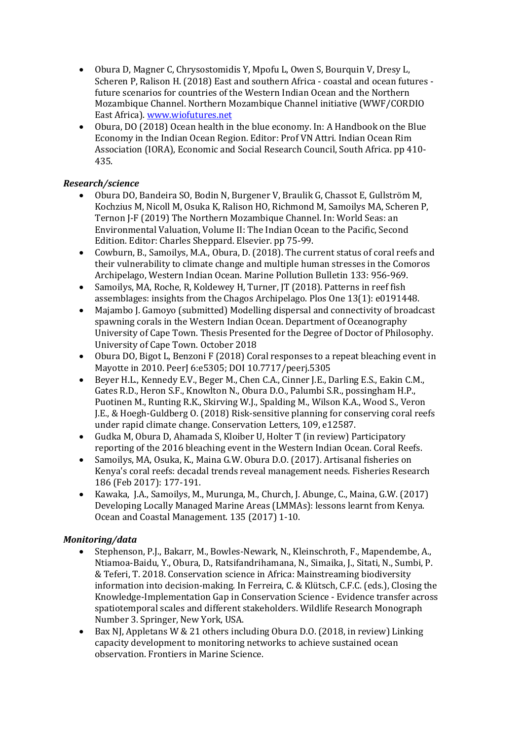- Obura D, Magner C, Chrysostomidis Y, Mpofu L, Owen S, Bourquin V, Dresy L, Scheren P, Ralison H. (2018) East and southern Africa - coastal and ocean futures future scenarios for countries of the Western Indian Ocean and the Northern Mozambique Channel. Northern Mozambique Channel initiative (WWF/CORDIO East Africa). www.wiofutures.net
- Obura, DO (2018) Ocean health in the blue economy. In: A Handbook on the Blue Economy in the Indian Ocean Region. Editor: Prof VN Attri. Indian Ocean Rim Association (IORA), Economic and Social Research Council, South Africa. pp 410-435.

# *Research/science*

- Obura DO, Bandeira SO, Bodin N, Burgener V, Braulik G, Chassot E, Gullström M, Kochzius M, Nicoll M, Osuka K, Ralison HO, Richmond M, Samoilys MA, Scheren P, Ternon J-F (2019) The Northern Mozambique Channel. In: World Seas: an Environmental Valuation, Volume II: The Indian Ocean to the Pacific, Second Edition. Editor: Charles Sheppard. Elsevier. pp 75-99.
- Cowburn, B., Samoilys, M.A., Obura, D. (2018). The current status of coral reefs and their vulnerability to climate change and multiple human stresses in the Comoros Archipelago, Western Indian Ocean. Marine Pollution Bulletin 133: 956-969.
- Samoilys, MA, Roche, R, Koldewey H, Turner, JT (2018). Patterns in reef fish assemblages: insights from the Chagos Archipelago. Plos One 13(1): e0191448.
- Majambo J. Gamoyo (submitted) Modelling dispersal and connectivity of broadcast spawning corals in the Western Indian Ocean. Department of Oceanography University of Cape Town. Thesis Presented for the Degree of Doctor of Philosophy. University of Cape Town. October 2018
- Obura DO, Bigot L, Benzoni F (2018) Coral responses to a repeat bleaching event in Mayotte in 2010. PeerJ 6:e5305; DOI 10.7717/peerj.5305
- Beyer H.L., Kennedy E.V., Beger M., Chen C.A., Cinner J.E., Darling E.S., Eakin C.M., Gates R.D., Heron S.F., Knowlton N., Obura D.O., Palumbi S.R., possingham H.P., Puotinen M., Runting R.K., Skirving W.J., Spalding M., Wilson K.A., Wood S., Veron J.E., & Hoegh-Guldberg O. (2018) Risk-sensitive planning for conserving coral reefs under rapid climate change. Conservation Letters, 109, e12587.
- Gudka M, Obura D, Ahamada S, Kloiber U, Holter T (in review) Participatory reporting of the 2016 bleaching event in the Western Indian Ocean. Coral Reefs.
- Samoilys, MA, Osuka, K., Maina G.W. Obura D.O. (2017). Artisanal fisheries on Kenya's coral reefs: decadal trends reveal management needs. Fisheries Research 186 (Feb 2017): 177-191.
- Kawaka, J.A., Samoilys, M., Murunga, M., Church, J. Abunge, C., Maina, G.W. (2017) Developing Locally Managed Marine Areas (LMMAs): lessons learnt from Kenya. Ocean and Coastal Management. 135 (2017) 1-10.

# *Monitoring/data*

- Stephenson, P.J., Bakarr, M., Bowles-Newark, N., Kleinschroth, F., Mapendembe, A., Ntiamoa-Baidu, Y., Obura, D., Ratsifandrihamana, N., Simaika, I., Sitati, N., Sumbi, P. & Teferi, T. 2018. Conservation science in Africa: Mainstreaming biodiversity information into decision-making. In Ferreira, C. & Klütsch, C.F.C. (eds.), Closing the Knowledge-Implementation Gap in Conservation Science - Evidence transfer across spatiotemporal scales and different stakeholders. Wildlife Research Monograph Number 3. Springer, New York, USA.
- Bax NJ, Appletans W & 21 others including Obura D.O. (2018, in review) Linking capacity development to monitoring networks to achieve sustained ocean observation. Frontiers in Marine Science.